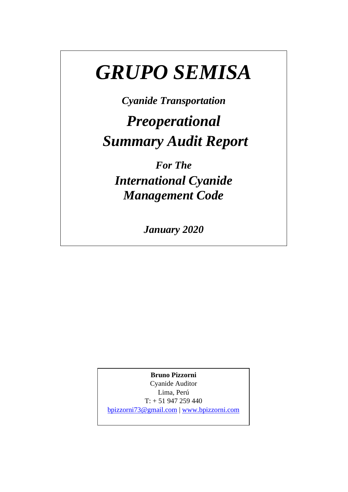# *GRUPO SEMISA*

*Cyanide Transportation*

*Preoperational Summary Audit Report*

*For The International Cyanide Management Code*

*January 2020*

**Bruno Pizzorni**

Cyanide Auditor Lima, Perú  $T: + 51947259440$ 

[bpizzorni73@gmail.com](mailto:bpizzorni73@gmail.com) | [www.bpizzorni.com](http://www.bpizzorni.com/)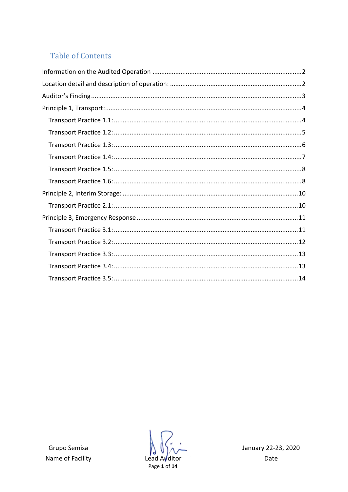#### **Table of Contents**

Grupo Semisa Name of Facility

Lead Avditor Page 1 of 14

January 22-23, 2020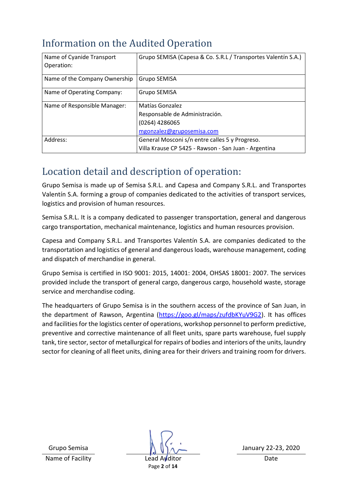## <span id="page-2-0"></span>Information on the Audited Operation

| Name of Cyanide Transport     | Grupo SEMISA (Capesa & Co. S.R.L / Transportes Valentín S.A.) |  |  |
|-------------------------------|---------------------------------------------------------------|--|--|
| Operation:                    |                                                               |  |  |
| Name of the Company Ownership | Grupo SEMISA                                                  |  |  |
| Name of Operating Company:    | Grupo SEMISA                                                  |  |  |
| Name of Responsible Manager:  | Matías Gonzalez                                               |  |  |
|                               | Responsable de Administración.                                |  |  |
|                               | (0264) 4286065                                                |  |  |
|                               | mgonzalez@gruposemisa.com                                     |  |  |
| Address:                      | General Mosconi s/n entre calles 5 y Progreso.                |  |  |
|                               | Villa Krause CP 5425 - Rawson - San Juan - Argentina          |  |  |

# <span id="page-2-1"></span>Location detail and description of operation:

Grupo Semisa is made up of Semisa S.R.L. and Capesa and Company S.R.L. and Transportes Valentín S.A. forming a group of companies dedicated to the activities of transport services, logistics and provision of human resources.

Semisa S.R.L. It is a company dedicated to passenger transportation, general and dangerous cargo transportation, mechanical maintenance, logistics and human resources provision.

Capesa and Company S.R.L. and Transportes Valentín S.A. are companies dedicated to the transportation and logistics of general and dangerous loads, warehouse management, coding and dispatch of merchandise in general.

Grupo Semisa is certified in ISO 9001: 2015, 14001: 2004, OHSAS 18001: 2007. The services provided include the transport of general cargo, dangerous cargo, household waste, storage service and merchandise coding.

The headquarters of Grupo Semisa is in the southern access of the province of San Juan, in the department of Rawson, Argentina [\(https://goo.gl/maps/zufdbKYuV9G2\)](https://goo.gl/maps/zufdbKYuV9G2). It has offices and facilities for the logistics center of operations, workshop personnel to perform predictive, preventive and corrective maintenance of all fleet units, spare parts warehouse, fuel supply tank, tire sector, sector of metallurgical for repairs of bodies and interiors of the units, laundry sector for cleaning of all fleet units, dining area for their drivers and training room for drivers.

Name of Facility **Lead Auditor** Date **Date** 

Page **2** of **14**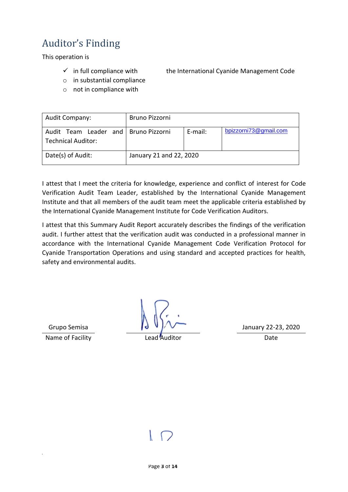# <span id="page-3-0"></span>Auditor's Finding

This operation is

- $\checkmark$  in full compliance with the International Cyanide Management Code
- o in substantial compliance
- o not in compliance with

| Audit Company:                                                      | Bruno Pizzorni          |         |                       |
|---------------------------------------------------------------------|-------------------------|---------|-----------------------|
| Audit Team Leader and   Bruno Pizzorni<br><b>Technical Auditor:</b> |                         | E-mail: | bpizzorni73@gmail.com |
| Date(s) of Audit:                                                   | January 21 and 22, 2020 |         |                       |

I attest that I meet the criteria for knowledge, experience and conflict of interest for Code Verification Audit Team Leader, established by the International Cyanide Management Institute and that all members of the audit team meet the applicable criteria established by the International Cyanide Management Institute for Code Verification Auditors.

I attest that this Summary Audit Report accurately describes the findings of the verification audit. I further attest that the verification audit was conducted in a professional manner in accordance with the International Cyanide Management Code Verification Protocol for Cyanide Transportation Operations and using standard and accepted practices for health, safety and environmental audits.

Name of Facility **State Auditor** Lead Auditor **Contains Container Containers** Date

Grupo Semisa  $\begin{array}{|c|c|c|c|c|}\n\hline\n\downarrow\downarrow\downarrow\downarrow\downarrow\downarrow\downarrow\downarrow\downarrow\end{array}$  January 22-23, 2020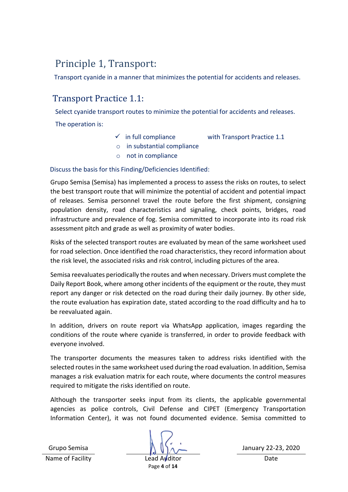## <span id="page-4-0"></span>Principle 1, Transport:

Transport cyanide in a manner that minimizes the potential for accidents and releases.

#### <span id="page-4-1"></span>Transport Practice 1.1:

Select cyanide transport routes to minimize the potential for accidents and releases.

The operation is:

- $\checkmark$  in full compliance with Transport Practice 1.1
- o in substantial compliance
- o not in compliance

Discuss the basis for this Finding/Deficiencies Identified:

Grupo Semisa (Semisa) has implemented a process to assess the risks on routes, to select the best transport route that will minimize the potential of accident and potential impact of releases. Semisa personnel travel the route before the first shipment, consigning population density, road characteristics and signaling, check points, bridges, road infrastructure and prevalence of fog. Semisa committed to incorporate into its road risk assessment pitch and grade as well as proximity of water bodies.

Risks of the selected transport routes are evaluated by mean of the same worksheet used for road selection. Once identified the road characteristics, they record information about the risk level, the associated risks and risk control, including pictures of the area.

Semisa reevaluates periodically the routes and when necessary. Drivers must complete the Daily Report Book, where among other incidents of the equipment or the route, they must report any danger or risk detected on the road during their daily journey. By other side, the route evaluation has expiration date, stated according to the road difficulty and ha to be reevaluated again.

In addition, drivers on route report via WhatsApp application, images regarding the conditions of the route where cyanide is transferred, in order to provide feedback with everyone involved.

The transporter documents the measures taken to address risks identified with the selected routes in the same worksheet used during the road evaluation. In addition, Semisa manages a risk evaluation matrix for each route, where documents the control measures required to mitigate the risks identified on route.

Although the transporter seeks input from its clients, the applicable governmental agencies as police controls, Civil Defense and CIPET (Emergency Transportation Information Center), it was not found documented evidence. Semisa committed to

Name of Facility **Lead Auditor** Date **Date**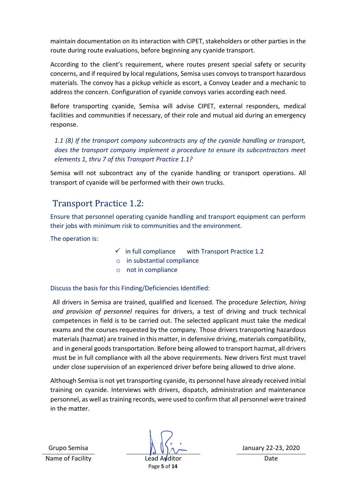maintain documentation on its interaction with CIPET, stakeholders or other parties in the route during route evaluations, before beginning any cyanide transport.

According to the client's requirement, where routes present special safety or security concerns, and if required by local regulations, Semisa uses convoys to transport hazardous materials. The convoy has a pickup vehicle as escort, a Convoy Leader and a mechanic to address the concern. Configuration of cyanide convoys varies according each need.

Before transporting cyanide, Semisa will advise CIPET, external responders, medical facilities and communities if necessary, of their role and mutual aid during an emergency response.

*1.1 (8) If the transport company subcontracts any of the cyanide handling or transport, does the transport company implement a procedure to ensure its subcontractors meet elements 1, thru 7 of this Transport Practice 1.1?*

Semisa will not subcontract any of the cyanide handling or transport operations. All transport of cyanide will be performed with their own trucks.

### <span id="page-5-0"></span>Transport Practice 1.2:

Ensure that personnel operating cyanide handling and transport equipment can perform their jobs with minimum risk to communities and the environment.

The operation is:

- $\checkmark$  in full compliance with Transport Practice 1.2
- o in substantial compliance
- o not in compliance

#### Discuss the basis for this Finding/Deficiencies Identified:

All drivers in Semisa are trained, qualified and licensed. The procedure *Selection, hiring and provision of personnel* requires for drivers, a test of driving and truck technical competences in field is to be carried out. The selected applicant must take the medical exams and the courses requested by the company. Those drivers transporting hazardous materials(hazmat) are trained in this matter, in defensive driving, materials compatibility, and in general goods transportation. Before being allowed to transport hazmat, all drivers must be in full compliance with all the above requirements. New drivers first must travel under close supervision of an experienced driver before being allowed to drive alone.

Although Semisa is not yet transporting cyanide, its personnel have already received initial training on cyanide. Interviews with drivers, dispatch, administration and maintenance personnel, as well as training records, were used to confirm that all personnel were trained in the matter.

Name of Facility **Lead Auditor** Date **Date** 

Page **5** of **14**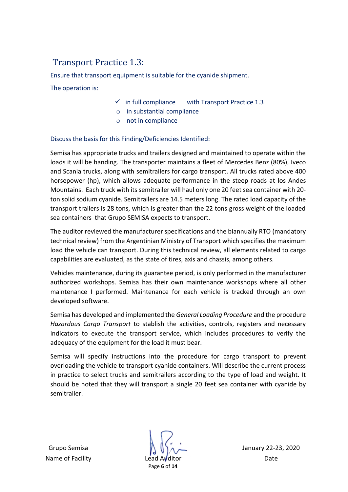## <span id="page-6-0"></span>Transport Practice 1.3:

Ensure that transport equipment is suitable for the cyanide shipment.

The operation is:

- $\checkmark$  in full compliance with Transport Practice 1.3
- o in substantial compliance
- o not in compliance

#### Discuss the basis for this Finding/Deficiencies Identified:

Semisa has appropriate trucks and trailers designed and maintained to operate within the loads it will be handing. The transporter maintains a fleet of Mercedes Benz (80%), Iveco and Scania trucks, along with semitrailers for cargo transport. All trucks rated above 400 horsepower (hp), which allows adequate performance in the steep roads at los Andes Mountains. Each truck with its semitrailer will haul only one 20 feet sea container with 20 ton solid sodium cyanide. Semitrailers are 14.5 meters long. The rated load capacity of the transport trailers is 28 tons, which is greater than the 22 tons gross weight of the loaded sea containers that Grupo SEMISA expects to transport.

The auditor reviewed the manufacturer specifications and the biannually RTO (mandatory technical review) from the Argentinian Ministry of Transport which specifies the maximum load the vehicle can transport. During this technical review, all elements related to cargo capabilities are evaluated, as the state of tires, axis and chassis, among others.

Vehicles maintenance, during its guarantee period, is only performed in the manufacturer authorized workshops. Semisa has their own maintenance workshops where all other maintenance I performed. Maintenance for each vehicle is tracked through an own developed software.

Semisa has developed and implemented the *General Loading Procedure* and the procedure *Hazardous Cargo Transport* to stablish the activities, controls, registers and necessary indicators to execute the transport service, which includes procedures to verify the adequacy of the equipment for the load it must bear.

Semisa will specify instructions into the procedure for cargo transport to prevent overloading the vehicle to transport cyanide containers. Will describe the current process in practice to select trucks and semitrailers according to the type of load and weight. It should be noted that they will transport a single 20 feet sea container with cyanide by semitrailer.

Name of Facility **Lead Auditor** Date **Date** 

Page **6** of **14**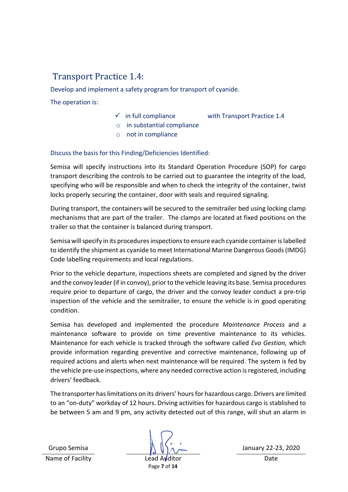#### <span id="page-7-0"></span>Transport Practice 1.4:

Develop and implement a safety program for transport of cyanide.

The operation is:

- 
- $\checkmark$  in full compliance with Transport Practice 1.4
- o in substantial compliance
- o not in compliance

Discuss the basis for this Finding/Deficiencies Identified:

Semisa will specify instructions into its Standard Operation Procedure (SOP) for cargo transport describing the controls to be carried out to guarantee the integrity of the load, specifying who will be responsible and when to check the integrity of the container, twist locks properly securing the container, door with seals and required signaling.

During transport, the containers will be secured to the semitrailer bed using locking clamp mechanisms that are part of the trailer. The clamps are located at fixed positions on the trailer so that the container is balanced during transport.

Semisa will specify in its procedures inspections to ensure each cyanide container is labelled to identify the shipment as cyanide to meet International Marine Dangerous Goods(IMDG) Code labelling requirements and local regulations.

Prior to the vehicle departure, inspections sheets are completed and signed by the driver and the convoy leader (if in convoy), prior to the vehicle leaving its base. Semisa procedures require prior to departure of cargo, the driver and the convoy leader conduct a pre-trip inspection of the vehicle and the semitrailer, to ensure the vehicle is in good operating condition.

Semisa has developed and implemented the procedure *Maintenance Process* and a maintenance software to provide on time preventive maintenance to its vehicles. Maintenance for each vehicle is tracked through the software called *Evo Gestion,* which provide information regarding preventive and corrective maintenance, following up of required actions and alerts when next maintenance will be required. The system is fed by the vehicle pre-use inspections, where any needed corrective action is registered, including drivers' feedback.

The transporter has limitations on its drivers' hoursfor hazardous cargo. Drivers are limited to an "on-duty" workday of 12 hours. Driving activities for hazardous cargo is stablished to be between 5 am and 9 pm, any activity detected out of this range, will shut an alarm in

Name of Facility **Lead Auditor** Date **Date** 

Page **7** of **14**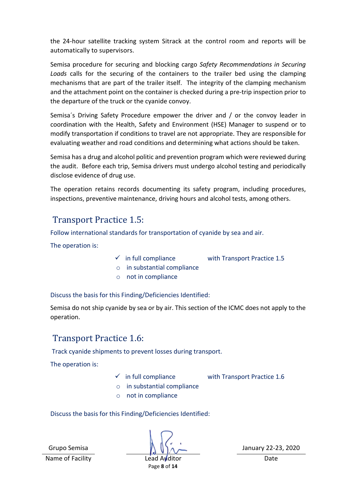the 24-hour satellite tracking system Sitrack at the control room and reports will be automatically to supervisors.

Semisa procedure for securing and blocking cargo *Safety Recommendations in Securing Loads* calls for the securing of the containers to the trailer bed using the clamping mechanisms that are part of the trailer itself. The integrity of the clamping mechanism and the attachment point on the container is checked during a pre-trip inspection prior to the departure of the truck or the cyanide convoy.

Semisa´s Driving Safety Procedure empower the driver and / or the convoy leader in coordination with the Health, Safety and Environment (HSE) Manager to suspend or to modify transportation if conditions to travel are not appropriate. They are responsible for evaluating weather and road conditions and determining what actions should be taken.

Semisa has a drug and alcohol politic and prevention program which were reviewed during the audit. Before each trip, Semisa drivers must undergo alcohol testing and periodically disclose evidence of drug use.

The operation retains records documenting its safety program, including procedures, inspections, preventive maintenance, driving hours and alcohol tests, among others.

#### <span id="page-8-0"></span>Transport Practice 1.5:

Follow international standards for transportation of cyanide by sea and air.

The operation is:

- $\checkmark$  in full compliance with Transport Practice 1.5
- o in substantial compliance
- o not in compliance

Discuss the basis for this Finding/Deficiencies Identified:

Semisa do not ship cyanide by sea or by air. This section of the ICMC does not apply to the operation.

#### <span id="page-8-1"></span>Transport Practice 1.6:

Track cyanide shipments to prevent losses during transport.

The operation is:

 $\checkmark$  in full compliance with Transport Practice 1.6

- o in substantial compliance
- o not in compliance

Discuss the basis for this Finding/Deficiencies Identified:

Grupo Semisa  $\bigwedge \bigwedge \bigwedge \alpha$  January 22-23, 2020

Name of Facility **Lead Auditor** Date **Date** Page **8** of **14**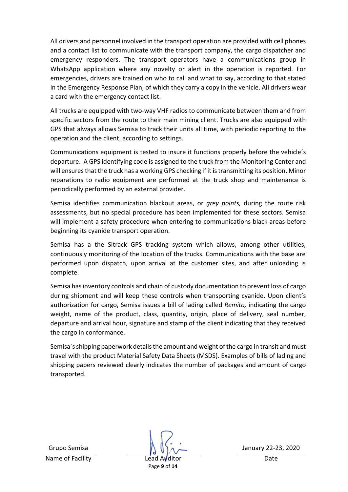All drivers and personnel involved in the transport operation are provided with cell phones and a contact list to communicate with the transport company, the cargo dispatcher and emergency responders. The transport operators have a communications group in WhatsApp application where any novelty or alert in the operation is reported. For emergencies, drivers are trained on who to call and what to say, according to that stated in the Emergency Response Plan, of which they carry a copy in the vehicle. All drivers wear a card with the emergency contact list.

All trucks are equipped with two-way VHF radios to communicate between them and from specific sectors from the route to their main mining client. Trucks are also equipped with GPS that always allows Semisa to track their units all time, with periodic reporting to the operation and the client, according to settings.

Communications equipment is tested to insure it functions properly before the vehicle´s departure. A GPS identifying code is assigned to the truck from the Monitoring Center and will ensures that the truck has a working GPS checking if it is transmitting its position. Minor reparations to radio equipment are performed at the truck shop and maintenance is periodically performed by an external provider.

Semisa identifies communication blackout areas, or *grey points,* during the route risk assessments, but no special procedure has been implemented for these sectors. Semisa will implement a safety procedure when entering to communications black areas before beginning its cyanide transport operation.

Semisa has a the Sitrack GPS tracking system which allows, among other utilities, continuously monitoring of the location of the trucks. Communications with the base are performed upon dispatch, upon arrival at the customer sites, and after unloading is complete.

Semisa hasinventory controls and chain of custody documentation to prevent loss of cargo during shipment and will keep these controls when transporting cyanide. Upon client's authorization for cargo, Semisa issues a bill of lading called *Remito,* indicating the cargo weight, name of the product, class, quantity, origin, place of delivery, seal number, departure and arrival hour, signature and stamp of the client indicating that they received the cargo in conformance.

<span id="page-9-0"></span>Semisa´sshipping paperwork details the amount and weight of the cargo in transit and must travel with the product Material Safety Data Sheets (MSDS). Examples of bills of lading and shipping papers reviewed clearly indicates the number of packages and amount of cargo transported.

Name of Facility **Lead Auditor** Date **Date** 

Page **9** of **14**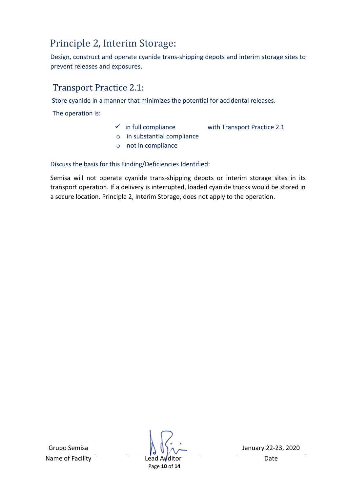# Principle 2, Interim Storage:

Design, construct and operate cyanide trans-shipping depots and interim storage sites to prevent releases and exposures.

### <span id="page-10-0"></span>Transport Practice 2.1:

Store cyanide in a manner that minimizes the potential for accidental releases.

The operation is:

- $\checkmark$  in full compliance with Transport Practice 2.1
- o in substantial compliance o not in compliance
- 

Discuss the basis for this Finding/Deficiencies Identified:

Semisa will not operate cyanide trans-shipping depots or interim storage sites in its transport operation. If a delivery is interrupted, loaded cyanide trucks would be stored in a secure location. Principle 2, Interim Storage, does not apply to the operation.

Name of Facility **Lead Auditor** Date

Page **10** of **14**

Grupo Semisa  $\bigcap_{n\to\infty}$  January 22-23, 2020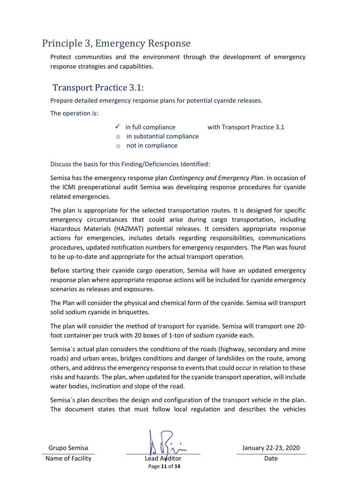## <span id="page-11-0"></span>Principle 3, Emergency Response

Protect communities and the environment through the development of emergency response strategies and capabilities.

#### <span id="page-11-1"></span>Transport Practice 3.1:

Prepare detailed emergency response plans for potential cyanide releases.

The operation is:

- $\checkmark$  in full compliance with Transport Practice 3.1
- o in substantial compliance
- o not in compliance

Discuss the basis for this Finding/Deficiencies Identified:

Semisa has the emergency response plan *Contingency and Emergency Plan*. In occasion of the ICMI preoperational audit Semisa was developing response procedures for cyanide related emergencies.

The plan is appropriate for the selected transportation routes. It is designed for specific emergency circumstances that could arise during cargo transportation, including Hazardous Materials (HAZMAT) potential releases. It considers appropriate response actions for emergencies, includes details regarding responsibilities, communications procedures, updated notification numbers for emergency responders. The Plan was found to be up-to-date and appropriate for the actual transport operation.

Before starting their cyanide cargo operation, Semisa will have an updated emergency response plan where appropriate response actions will be included for cyanide emergency scenarios as releases and exposures.

The Plan will consider the physical and chemical form of the cyanide. Semisa will transport solid sodium cyanide in briquettes.

The plan will consider the method of transport for cyanide. Semisa will transport one 20 foot container per truck with 20 boxes of 1-ton of sodium cyanide each.

Semisa´s actual plan considers the conditions of the roads (highway, secondary and mine roads) and urban areas, bridges conditions and danger of landslides on the route, among others, and address the emergency response to events that could occur in relation to these risks and hazards. The plan, when updated for the cyanide transport operation, will include water bodies, inclination and slope of the road.

Semisa´s plan describes the design and configuration of the transport vehicle in the plan. The document states that must follow local regulation and describes the vehicles

Name of Facility **Lead Auditor** Date **Date** 

Grupo Semisa  $\bigwedge \bigwedge \bigwedge \alpha$  January 22-23, 2020

Page **11** of **14**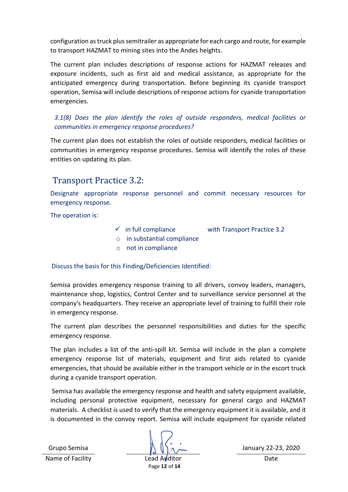configuration as truck plus semitrailer as appropriate for each cargo and route, for example to transport HAZMAT to mining sites into the Andes heights.

The current plan includes descriptions of response actions for HAZMAT releases and exposure incidents, such as first aid and medical assistance, as appropriate for the anticipated emergency during transportation. Before beginning its cyanide transport operation, Semisa will include descriptions of response actions for cyanide transportation emergencies.

*3.1(8) Does the plan identify the roles of outside responders, medical facilities or communities in emergency response procedures?*

The current plan does not establish the roles of outside responders, medical facilities or communities in emergency response procedures. Semisa will identify the roles of these entities on updating its plan.

#### <span id="page-12-0"></span>Transport Practice 3.2:

Designate appropriate response personnel and commit necessary resources for emergency response.

The operation is:

- $\checkmark$  in full compliance with Transport Practice 3.2
- o in substantial compliance
- o not in compliance

Discuss the basis for this Finding/Deficiencies Identified:

Semisa provides emergency response training to all drivers, convoy leaders, managers, maintenance shop, logistics, Control Center and to surveillance service personnel at the company's headquarters. They receive an appropriate level of training to fulfill their role in emergency response.

The current plan describes the personnel responsibilities and duties for the specific emergency response.

The plan includes a list of the anti-spill kit. Semisa will include in the plan a complete emergency response list of materials, equipment and first aids related to cyanide emergencies, that should be available either in the transport vehicle or in the escort truck during a cyanide transport operation.

Semisa has available the emergency response and health and safety equipment available, including personal protective equipment, necessary for general cargo and HAZMAT materials. A checklist is used to verify that the emergency equipment it is available, and it is documented in the convoy report. Semisa will include equipment for cyanide related

Page **12** of **14**

Grupo Semisa  $\bigwedge \bigwedge \bigwedge \alpha$  January 22-23, 2020

Name of Facility **Lead Auditor** Date **Date**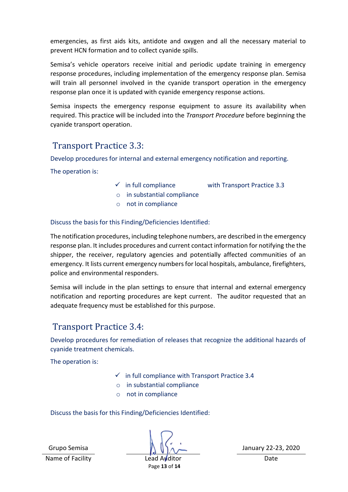emergencies, as first aids kits, antidote and oxygen and all the necessary material to prevent HCN formation and to collect cyanide spills.

Semisa's vehicle operators receive initial and periodic update training in emergency response procedures, including implementation of the emergency response plan. Semisa will train all personnel involved in the cyanide transport operation in the emergency response plan once it is updated with cyanide emergency response actions.

Semisa inspects the emergency response equipment to assure its availability when required. This practice will be included into the *Transport Procedure* before beginning the cyanide transport operation.

#### <span id="page-13-0"></span>Transport Practice 3.3:

Develop procedures for internal and external emergency notification and reporting.

The operation is:

- 
- $\checkmark$  in full compliance with Transport Practice 3.3
- o in substantial compliance
- o not in compliance

Discuss the basis for this Finding/Deficiencies Identified:

The notification procedures, including telephone numbers, are described in the emergency response plan. It includes procedures and current contact information for notifying the the shipper, the receiver, regulatory agencies and potentially affected communities of an emergency. It lists current emergency numbers for local hospitals, ambulance, firefighters, police and environmental responders.

Semisa will include in the plan settings to ensure that internal and external emergency notification and reporting procedures are kept current. The auditor requested that an adequate frequency must be established for this purpose.

#### <span id="page-13-1"></span>Transport Practice 3.4:

Develop procedures for remediation of releases that recognize the additional hazards of cyanide treatment chemicals.

The operation is:

- $\checkmark$  in full compliance with Transport Practice 3.4
- o in substantial compliance
- o not in compliance

Discuss the basis for this Finding/Deficiencies Identified:

Name of Facility **Lead Auditor** Date **Date** 

Grupo Semisa  $\bigwedge \bigwedge \bigwedge \alpha$  January 22-23, 2020

Page **13** of **14**